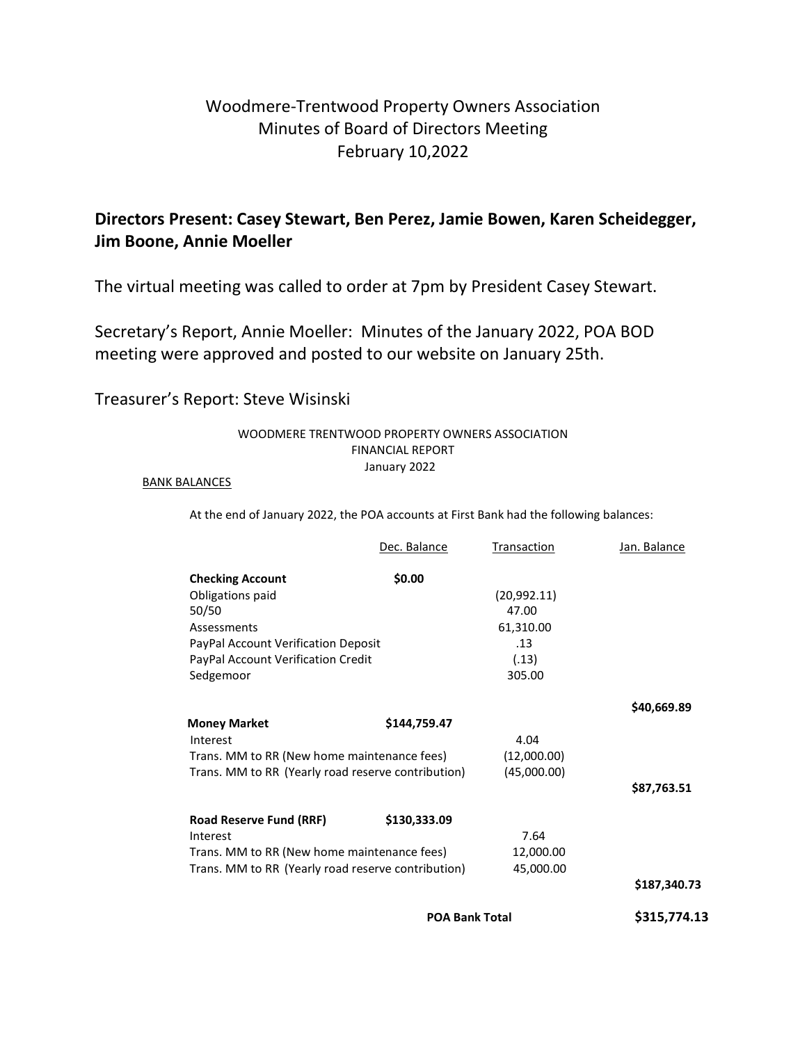# Woodmere-Trentwood Property Owners Association Minutes of Board of Directors Meeting February 10,2022

## Directors Present: Casey Stewart, Ben Perez, Jamie Bowen, Karen Scheidegger, Jim Boone, Annie Moeller

The virtual meeting was called to order at 7pm by President Casey Stewart.

Secretary's Report, Annie Moeller: Minutes of the January 2022, POA BOD meeting were approved and posted to our website on January 25th.

#### Treasurer's Report: Steve Wisinski

#### WOODMERE TRENTWOOD PROPERTY OWNERS ASSOCIATION FINANCIAL REPORT January 2022

#### BANK BALANCES

At the end of January 2022, the POA accounts at First Bank had the following balances:

|                                                    | <b>POA Bank Total</b>                                                                             |                     | \$315,774.13 |
|----------------------------------------------------|---------------------------------------------------------------------------------------------------|---------------------|--------------|
|                                                    |                                                                                                   |                     | \$187,340.73 |
|                                                    | Trans. MM to RR (New home maintenance fees)<br>Trans. MM to RR (Yearly road reserve contribution) |                     |              |
|                                                    |                                                                                                   |                     |              |
| Interest                                           |                                                                                                   | 7.64                |              |
| <b>Road Reserve Fund (RRF)</b>                     | \$130,333.09                                                                                      |                     |              |
|                                                    |                                                                                                   |                     | \$87,763.51  |
| Trans. MM to RR (Yearly road reserve contribution) |                                                                                                   | (45,000.00)         |              |
|                                                    | Trans. MM to RR (New home maintenance fees)                                                       |                     |              |
| Interest                                           |                                                                                                   | 4.04<br>(12,000.00) |              |
| <b>Money Market</b>                                | \$144,759.47                                                                                      |                     |              |
|                                                    |                                                                                                   |                     | \$40,669.89  |
| Sedgemoor                                          |                                                                                                   | 305.00              |              |
| PayPal Account Verification Credit                 |                                                                                                   | (.13)               |              |
| PayPal Account Verification Deposit                |                                                                                                   | .13                 |              |
| Assessments                                        |                                                                                                   | 61,310.00           |              |
| 50/50                                              |                                                                                                   | 47.00               |              |
| Obligations paid                                   |                                                                                                   | (20,992.11)         |              |
| <b>Checking Account</b>                            | \$0.00                                                                                            |                     |              |
|                                                    | Dec. Balance                                                                                      | Transaction         | Jan. Balance |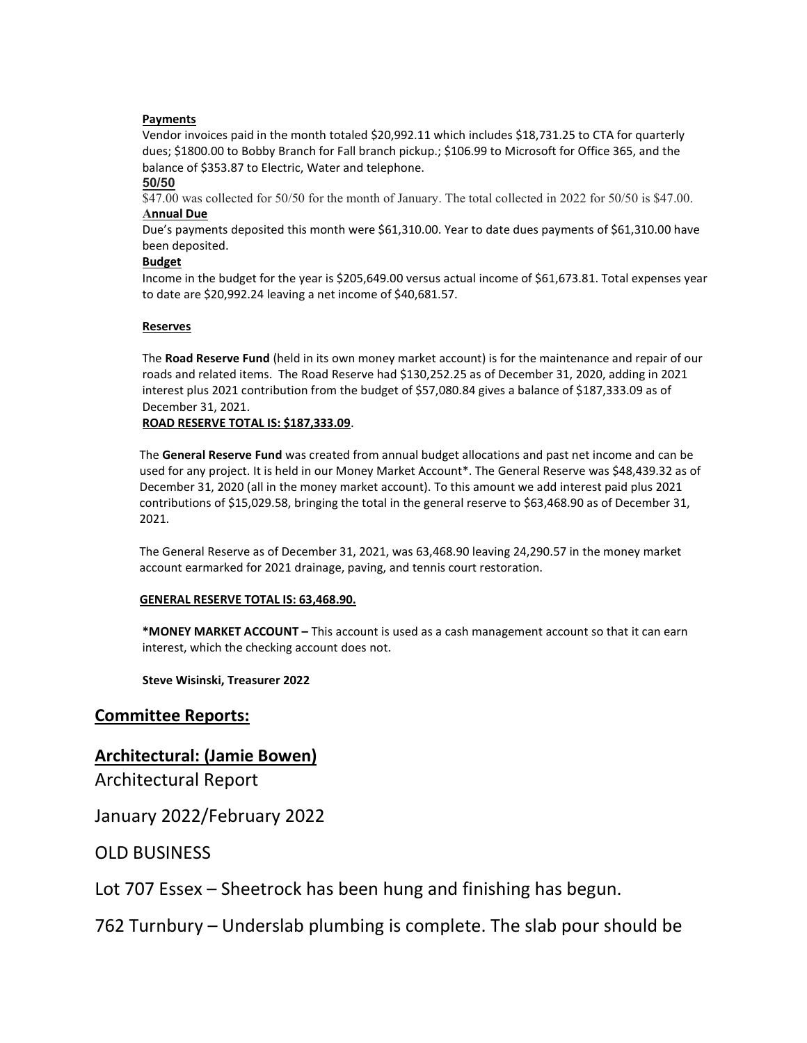#### Payments

Vendor invoices paid in the month totaled \$20,992.11 which includes \$18,731.25 to CTA for quarterly dues; \$1800.00 to Bobby Branch for Fall branch pickup.; \$106.99 to Microsoft for Office 365, and the balance of \$353.87 to Electric, Water and telephone.

#### 50/50

\$47.00 was collected for 50/50 for the month of January. The total collected in 2022 for 50/50 is \$47.00. Annual Due

Due's payments deposited this month were \$61,310.00. Year to date dues payments of \$61,310.00 have been deposited.

#### Budget

Income in the budget for the year is \$205,649.00 versus actual income of \$61,673.81. Total expenses year to date are \$20,992.24 leaving a net income of \$40,681.57.

#### Reserves

The Road Reserve Fund (held in its own money market account) is for the maintenance and repair of our roads and related items. The Road Reserve had \$130,252.25 as of December 31, 2020, adding in 2021 interest plus 2021 contribution from the budget of \$57,080.84 gives a balance of \$187,333.09 as of December 31, 2021.

#### ROAD RESERVE TOTAL IS: \$187,333.09.

The General Reserve Fund was created from annual budget allocations and past net income and can be used for any project. It is held in our Money Market Account\*. The General Reserve was \$48,439.32 as of December 31, 2020 (all in the money market account). To this amount we add interest paid plus 2021 contributions of \$15,029.58, bringing the total in the general reserve to \$63,468.90 as of December 31, 2021.

The General Reserve as of December 31, 2021, was 63,468.90 leaving 24,290.57 in the money market account earmarked for 2021 drainage, paving, and tennis court restoration.

#### GENERAL RESERVE TOTAL IS: 63,468.90.

\*MONEY MARKET ACCOUNT – This account is used as a cash management account so that it can earn interest, which the checking account does not.

Steve Wisinski, Treasurer 2022

#### Committee Reports:

#### Architectural: (Jamie Bowen)

Architectural Report

January 2022/February 2022

OLD BUSINESS

Lot 707 Essex – Sheetrock has been hung and finishing has begun.

762 Turnbury – Underslab plumbing is complete. The slab pour should be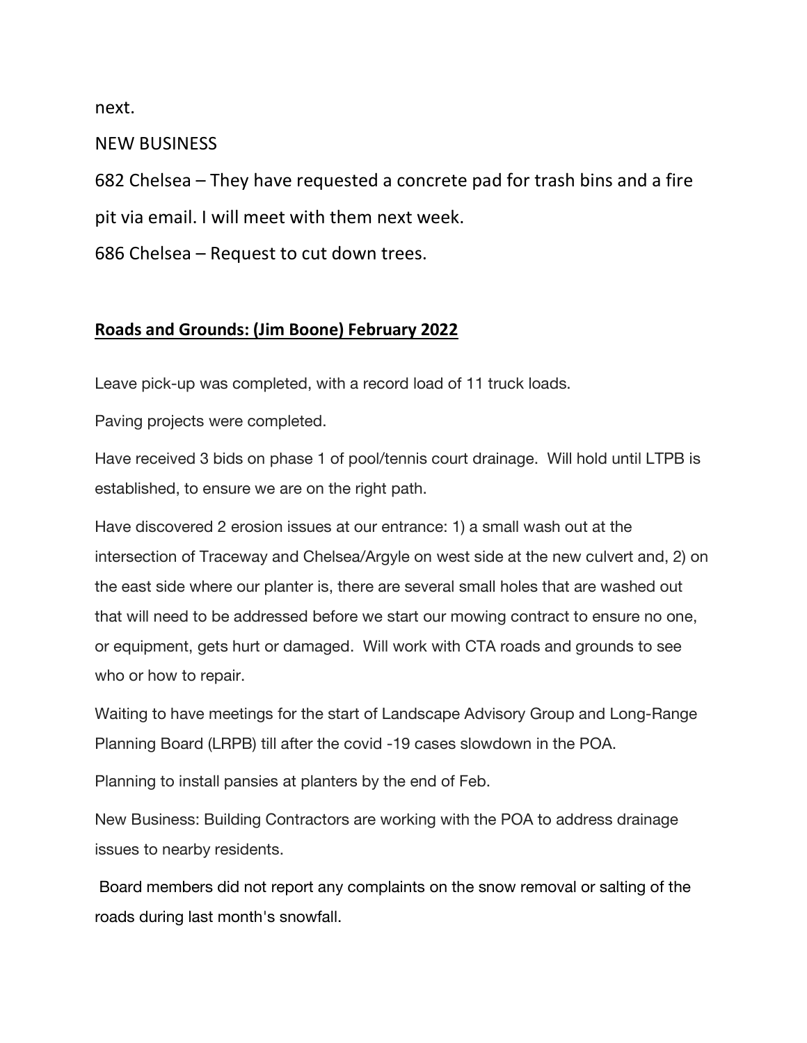next.

NEW BUSINESS

682 Chelsea – They have requested a concrete pad for trash bins and a fire pit via email. I will meet with them next week.

686 Chelsea – Request to cut down trees.

### Roads and Grounds: (Jim Boone) February 2022

Leave pick-up was completed, with a record load of 11 truck loads.

Paving projects were completed.

Have received 3 bids on phase 1 of pool/tennis court drainage. Will hold until LTPB is established, to ensure we are on the right path.

Have discovered 2 erosion issues at our entrance: 1) a small wash out at the intersection of Traceway and Chelsea/Argyle on west side at the new culvert and, 2) on the east side where our planter is, there are several small holes that are washed out that will need to be addressed before we start our mowing contract to ensure no one, or equipment, gets hurt or damaged. Will work with CTA roads and grounds to see who or how to repair.

Waiting to have meetings for the start of Landscape Advisory Group and Long-Range Planning Board (LRPB) till after the covid -19 cases slowdown in the POA.

Planning to install pansies at planters by the end of Feb.

New Business: Building Contractors are working with the POA to address drainage issues to nearby residents.

 Board members did not report any complaints on the snow removal or salting of the roads during last month's snowfall.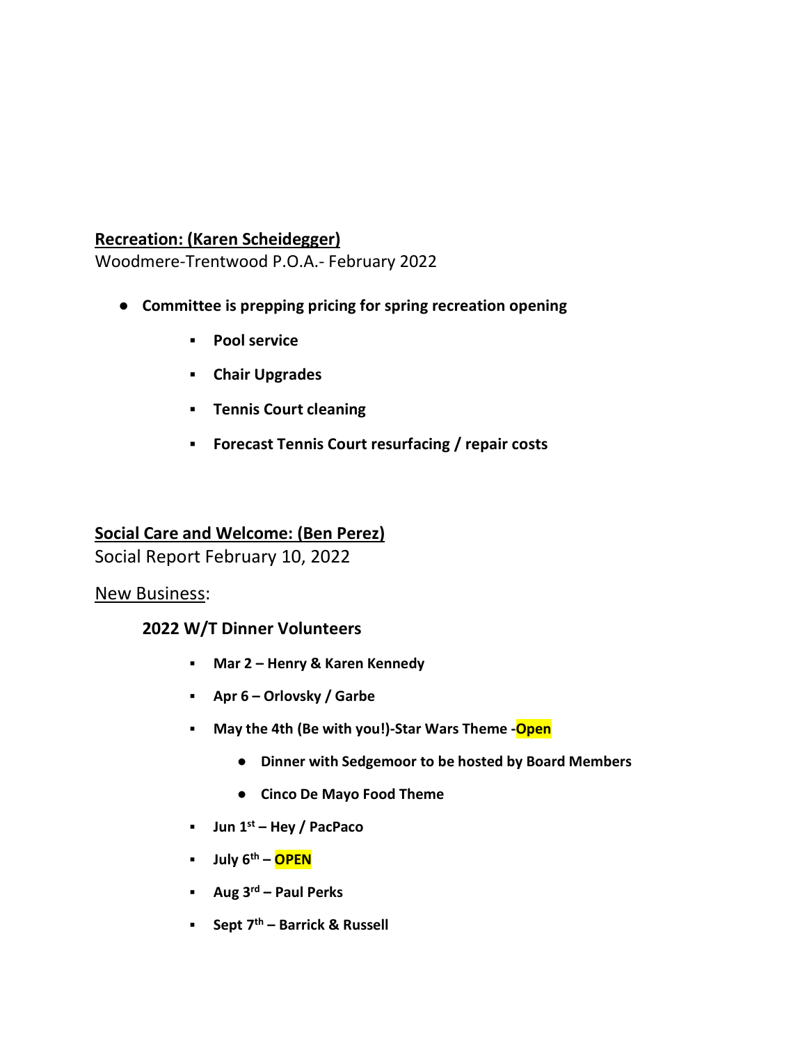## Recreation: (Karen Scheidegger)

Woodmere-Trentwood P.O.A.- February 2022

- Committee is prepping pricing for spring recreation opening
	- Pool service
	- Chair Upgrades
	- Tennis Court cleaning
	- Forecast Tennis Court resurfacing / repair costs

# Social Care and Welcome: (Ben Perez)

Social Report February 10, 2022

## New Business:

## 2022 W/T Dinner Volunteers

- Mar 2 Henry & Karen Kennedy
- Apr 6 Orlovsky / Garbe
- **■** May the 4th (Be with you!)-Star Wars Theme -Open
	- Dinner with Sedgemoor to be hosted by Board Members
	- Cinco De Mayo Food Theme
- **■** Jun  $1^{st}$  Hey / PacPaco
- **■** July 6<sup>th</sup> OPEN
- **•** Aug  $3^{rd}$  Paul Perks
- **•** Sept  $7<sup>th</sup>$  Barrick & Russell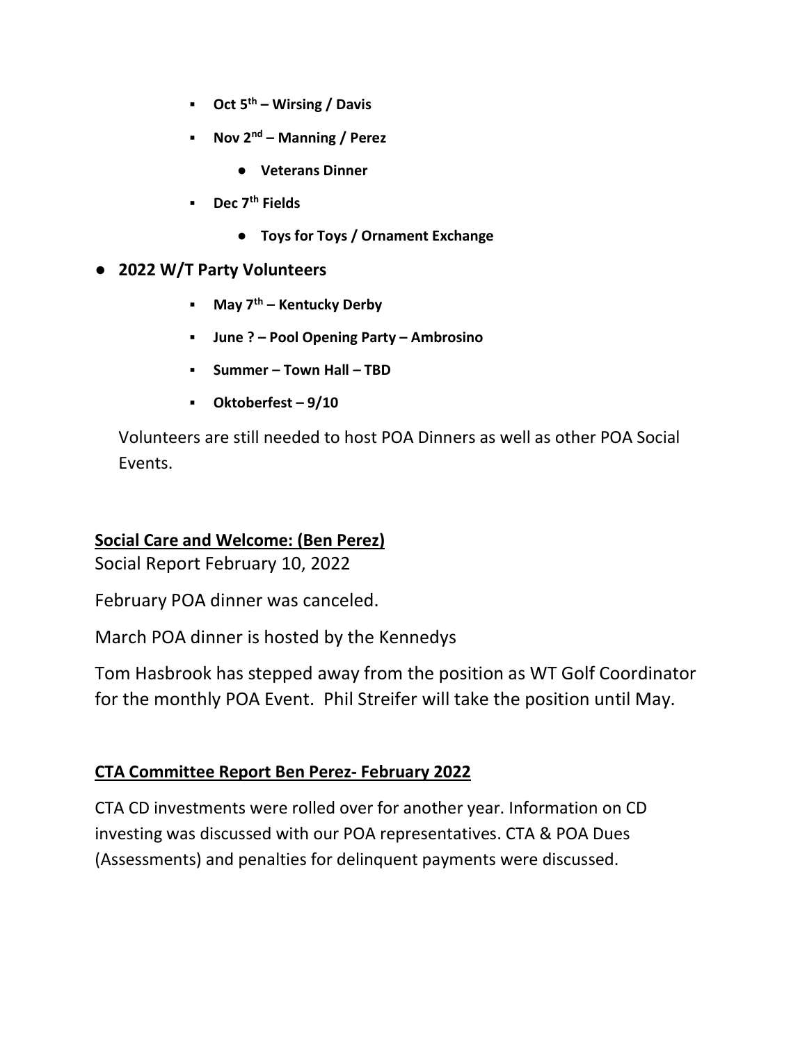- **•** Oct  $5^{th}$  Wirsing / Davis
- **•** Nov  $2^{nd}$  Manning / Perez
	- Veterans Dinner
- **■** Dec 7<sup>th</sup> Fields
	- Toys for Toys / Ornament Exchange

#### ● 2022 W/T Party Volunteers

- **■** May  $7<sup>th</sup>$  Kentucky Derby
- June ? Pool Opening Party Ambrosino
- Summer Town Hall TBD
- Oktoberfest 9/10

Volunteers are still needed to host POA Dinners as well as other POA Social Events.

## Social Care and Welcome: (Ben Perez)

Social Report February 10, 2022

February POA dinner was canceled.

March POA dinner is hosted by the Kennedys

Tom Hasbrook has stepped away from the position as WT Golf Coordinator for the monthly POA Event. Phil Streifer will take the position until May.

## CTA Committee Report Ben Perez- February 2022

CTA CD investments were rolled over for another year. Information on CD investing was discussed with our POA representatives. CTA & POA Dues (Assessments) and penalties for delinquent payments were discussed.